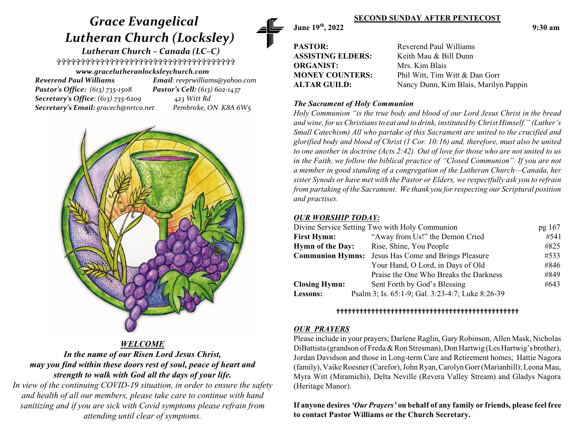# *Grace Evangelical Lutheran Church (Locksley)*

 *Lutheran Church – Canada (LC–C)* \_\_\_\_\_\_\_\_\_\_\_\_\_\_\_\_\_\_\_\_\_\_\_\_\_\_\_\_\_\_\_\_\_\_\_\_\_ *www.gracelutheranlocksleychurch.com*

 *Reverend Paul Williams Email: revprwilliams@yahoo.com Pastor's Office: (613) 735-1508 Pastor's Cell: (613) 602-1437 Secretary's Office: (613) 735-6209 423 Witt Rd Secretary's Email: gracech@nrtco.net Pembroke, ON K8A 6W5*



## *WELCOME In the name of our Risen Lord Jesus Christ, may you find within these doors rest of soul, peace of heart and strength to walk with God all the days of your life.*

*In view of the continuing COVID-19 situation, in order to ensure the safety and health of all our members, please take care to continue with hand sanitizing and if you are sick with Covid symptoms please refrain from attending until clear of symptoms.*

**June 19th**

**PASTOR:** Reverend Paul Williams **ASSISTING ELDERS:** Keith Mau & Bill Dunn **ORGANIST:** Mrs. Kim Blais **MONEY COUNTERS:** Phil Witt, Tim Witt & Dan Gorr

**ALTAR GUILD:** Nancy Dunn, Kim Blais, Marilyn Pappin

#### *The Sacrament of Holy Communion*

*Holy Communion "is the true body and blood of our Lord Jesus Christ in the bread and wine, for us Christians to eat and to drink, instituted by Christ Himself." (Luther's Small Catechism) All who partake of this Sacrament are united to the crucified and glorified body and blood of Christ (1 Cor. 10:16) and, therefore, must also be united to one another in doctrine (Acts 2:42). Out of love for those who are not united to us in the Faith, we follow the biblical practice of "Closed Communion". If you are not a member in good standing of a congregation of the Lutheran Church—Canada, her sister Synods or have met with the Pastor or Elders, we respectfully ask you to refrain from partaking of the Sacrament. We thank you for respecting our Scriptural position and practises.*

#### *OUR WORSHIP TODAY:*

| Divine Service Setting Two with Holy Communion |                                                  | pg 167 |
|------------------------------------------------|--------------------------------------------------|--------|
| <b>First Hymn:</b>                             | "Away from Us!" the Demon Cried                  | #541   |
| <b>Hymn of the Day:</b>                        | Rise, Shine, You People                          | #825   |
| <b>Communion Hymns:</b>                        | Jesus Has Come and Brings Pleasure               | #533   |
|                                                | Your Hand, O Lord, in Days of Old                | #846   |
|                                                | Praise the One Who Breaks the Darkness           | #849   |
| <b>Closing Hymn:</b>                           | Sent Forth by God's Blessing                     | #643   |
| Lessons:                                       | Psalm 3; Is. 65:1-9; Gal. 3:23-4:7; Luke 8:26-39 |        |

#### ```````````````````````````````````````````````

#### *OUR PRAYERS*

Please include in your prayers; Darlene Raglin, GaryRobinson, Allen Mask, Nicholas DiBattista (grandson of Freda & Ron Stresman), Don Hartwig (Les Hartwig's brother), Jordan Davidson and those in Long-term Care and Retirement homes; Hattie Nagora (family), Vaike Roesner(Carefor), John Ryan,Carolyn Gorr(Marianhill);Leona Mau, Myra Witt (Miramichi), Delta Neville (Revera Valley Stream) and Gladys Nagora (Heritage Manor).

**If anyone desires** *'Our Prayers'* **on behalf of any family or friends, please feel free to contact Pastor Williams or the Church Secretary.**

### **SECOND SUNDAY AFTER PENTECOST**